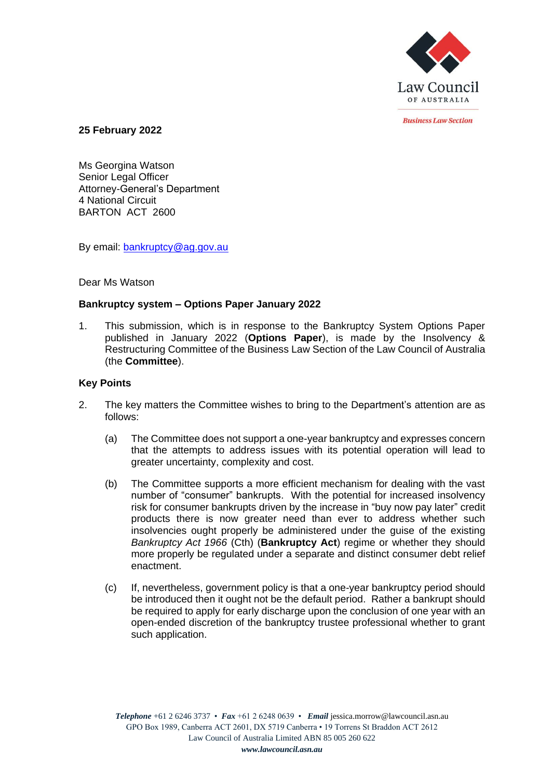

*<u>Rusiness Law Section</u>* 

**25 February 2022**

Ms Georgina Watson Senior Legal Officer Attorney-General's Department 4 National Circuit BARTON ACT 2600

By email: **bankruptcy@ag.gov.au** 

## Dear Ms Watson

# **Bankruptcy system – Options Paper January 2022**

1. This submission, which is in response to the Bankruptcy System Options Paper published in January 2022 (**Options Paper**), is made by the Insolvency & Restructuring Committee of the Business Law Section of the Law Council of Australia (the **Committee**).

# **Key Points**

- 2. The key matters the Committee wishes to bring to the Department's attention are as follows:
	- (a) The Committee does not support a one-year bankruptcy and expresses concern that the attempts to address issues with its potential operation will lead to greater uncertainty, complexity and cost.
	- (b) The Committee supports a more efficient mechanism for dealing with the vast number of "consumer" bankrupts. With the potential for increased insolvency risk for consumer bankrupts driven by the increase in "buy now pay later" credit products there is now greater need than ever to address whether such insolvencies ought properly be administered under the guise of the existing *Bankruptcy Act 1966* (Cth) (**Bankruptcy Act**) regime or whether they should more properly be regulated under a separate and distinct consumer debt relief enactment.
	- (c) If, nevertheless, government policy is that a one-year bankruptcy period should be introduced then it ought not be the default period. Rather a bankrupt should be required to apply for early discharge upon the conclusion of one year with an open-ended discretion of the bankruptcy trustee professional whether to grant such application.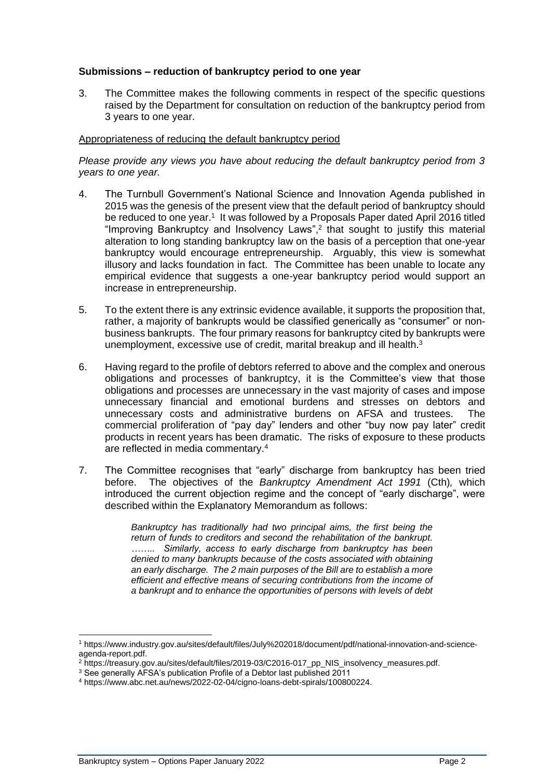# **Submissions – reduction of bankruptcy period to one year**

3. The Committee makes the following comments in respect of the specific questions raised by the Department for consultation on reduction of the bankruptcy period from 3 years to one year.

#### Appropriateness of reducing the default bankruptcy period

*Please provide any views you have about reducing the default bankruptcy period from 3 years to one year.*

- 4. The Turnbull Government's National Science and Innovation Agenda published in 2015 was the genesis of the present view that the default period of bankruptcy should be reduced to one year.<sup>1</sup> It was followed by a Proposals Paper dated April 2016 titled "Improving Bankruptcy and Insolvency Laws",<sup>2</sup> that sought to justify this material alteration to long standing bankruptcy law on the basis of a perception that one-year bankruptcy would encourage entrepreneurship. Arguably, this view is somewhat illusory and lacks foundation in fact. The Committee has been unable to locate any empirical evidence that suggests a one-year bankruptcy period would support an increase in entrepreneurship.
- 5. To the extent there is any extrinsic evidence available, it supports the proposition that, rather, a majority of bankrupts would be classified generically as "consumer" or nonbusiness bankrupts. The four primary reasons for bankruptcy cited by bankrupts were unemployment, excessive use of credit, marital breakup and ill health.<sup>3</sup>
- 6. Having regard to the profile of debtors referred to above and the complex and onerous obligations and processes of bankruptcy, it is the Committee's view that those obligations and processes are unnecessary in the vast majority of cases and impose unnecessary financial and emotional burdens and stresses on debtors and unnecessary costs and administrative burdens on AFSA and trustees. The commercial proliferation of "pay day" lenders and other "buy now pay later" credit products in recent years has been dramatic. The risks of exposure to these products are reflected in media commentary.<sup>4</sup>
- 7. The Committee recognises that "early" discharge from bankruptcy has been tried before. The objectives of the *Bankruptcy Amendment Act 1991* (Cth)*,* which introduced the current objection regime and the concept of "early discharge", were described within the Explanatory Memorandum as follows:

*Bankruptcy has traditionally had two principal aims, the first being the return of funds to creditors and second the rehabilitation of the bankrupt. …….. Similarly, access to early discharge from bankruptcy has been denied to many bankrupts because of the costs associated with obtaining an early discharge. The 2 main purposes of the Bill are to establish a more efficient and effective means of securing contributions from the income of a bankrupt and to enhance the opportunities of persons with levels of debt* 

<sup>1</sup> https://www.industry.gov.au/sites/default/files/July%202018/document/pdf/national-innovation-and-scienceagenda-report.pdf.

<sup>&</sup>lt;sup>2</sup> https://treasury.gov.au/sites/default/files/2019-03/C2016-017\_pp\_NIS\_insolvency\_measures.pdf.

<sup>&</sup>lt;sup>3</sup> See generally AFSA's publication Profile of a Debtor last published 2011

<sup>4</sup> https://www.abc.net.au/news/2022-02-04/cigno-loans-debt-spirals/100800224.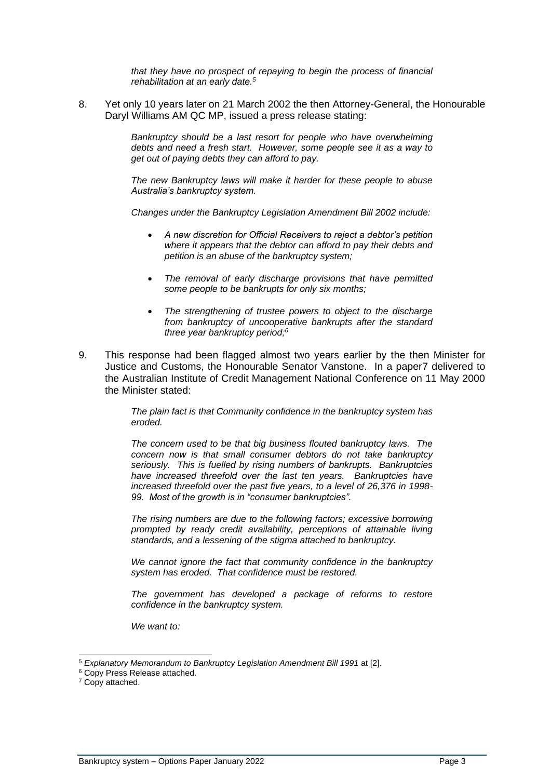*that they have no prospect of repaying to begin the process of financial rehabilitation at an early date.<sup>5</sup>*

8. Yet only 10 years later on 21 March 2002 the then Attorney-General, the Honourable Daryl Williams AM QC MP, issued a press release stating:

> *Bankruptcy should be a last resort for people who have overwhelming debts and need a fresh start. However, some people see it as a way to get out of paying debts they can afford to pay.*

> *The new Bankruptcy laws will make it harder for these people to abuse Australia's bankruptcy system.*

> *Changes under the Bankruptcy Legislation Amendment Bill 2002 include:*

- *A new discretion for Official Receivers to reject a debtor's petition where it appears that the debtor can afford to pay their debts and petition is an abuse of the bankruptcy system;*
- *The removal of early discharge provisions that have permitted some people to be bankrupts for only six months;*
- *The strengthening of trustee powers to object to the discharge from bankruptcy of uncooperative bankrupts after the standard three year bankruptcy period;<sup>6</sup>*
- 9. This response had been flagged almost two years earlier by the then Minister for Justice and Customs, the Honourable Senator Vanstone. In a paper7 delivered to the Australian Institute of Credit Management National Conference on 11 May 2000 the Minister stated:

*The plain fact is that Community confidence in the bankruptcy system has eroded.*

*The concern used to be that big business flouted bankruptcy laws. The concern now is that small consumer debtors do not take bankruptcy seriously. This is fuelled by rising numbers of bankrupts. Bankruptcies have increased threefold over the last ten years. Bankruptcies have increased threefold over the past five years, to a level of 26,376 in 1998- 99. Most of the growth is in "consumer bankruptcies".*

*The rising numbers are due to the following factors; excessive borrowing prompted by ready credit availability, perceptions of attainable living standards, and a lessening of the stigma attached to bankruptcy.*

*We cannot ignore the fact that community confidence in the bankruptcy system has eroded. That confidence must be restored.*

*The government has developed a package of reforms to restore confidence in the bankruptcy system.*

*We want to:*

<sup>5</sup> *Explanatory Memorandum to Bankruptcy Legislation Amendment Bill 1991* at [2].

<sup>6</sup> Copy Press Release attached.

<sup>&</sup>lt;sup>7</sup> Copy attached.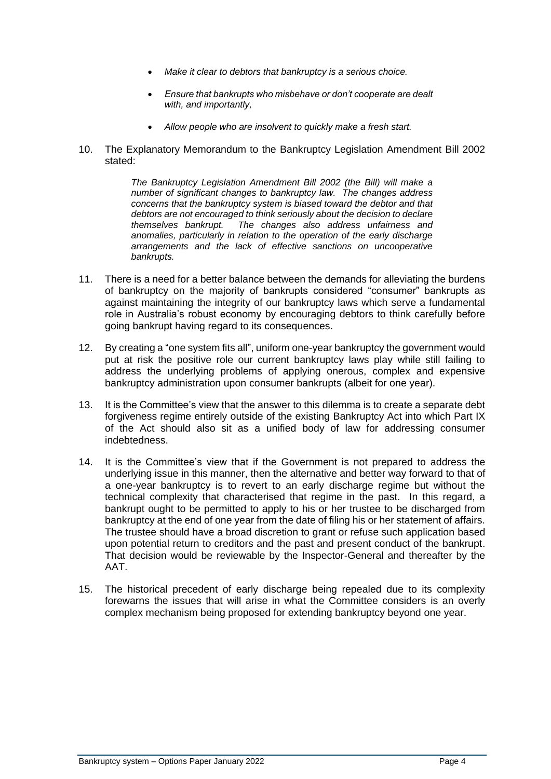- *Make it clear to debtors that bankruptcy is a serious choice.*
- *Ensure that bankrupts who misbehave or don't cooperate are dealt with, and importantly,*
- *Allow people who are insolvent to quickly make a fresh start.*
- 10. The Explanatory Memorandum to the Bankruptcy Legislation Amendment Bill 2002 stated:

*The Bankruptcy Legislation Amendment Bill 2002 (the Bill) will make a number of significant changes to bankruptcy law. The changes address concerns that the bankruptcy system is biased toward the debtor and that debtors are not encouraged to think seriously about the decision to declare themselves bankrupt. The changes also address unfairness and anomalies, particularly in relation to the operation of the early discharge arrangements and the lack of effective sanctions on uncooperative bankrupts.*

- 11. There is a need for a better balance between the demands for alleviating the burdens of bankruptcy on the majority of bankrupts considered "consumer" bankrupts as against maintaining the integrity of our bankruptcy laws which serve a fundamental role in Australia's robust economy by encouraging debtors to think carefully before going bankrupt having regard to its consequences.
- 12. By creating a "one system fits all", uniform one-year bankruptcy the government would put at risk the positive role our current bankruptcy laws play while still failing to address the underlying problems of applying onerous, complex and expensive bankruptcy administration upon consumer bankrupts (albeit for one year).
- 13. It is the Committee's view that the answer to this dilemma is to create a separate debt forgiveness regime entirely outside of the existing Bankruptcy Act into which Part IX of the Act should also sit as a unified body of law for addressing consumer indebtedness.
- 14. It is the Committee's view that if the Government is not prepared to address the underlying issue in this manner, then the alternative and better way forward to that of a one-year bankruptcy is to revert to an early discharge regime but without the technical complexity that characterised that regime in the past. In this regard, a bankrupt ought to be permitted to apply to his or her trustee to be discharged from bankruptcy at the end of one year from the date of filing his or her statement of affairs. The trustee should have a broad discretion to grant or refuse such application based upon potential return to creditors and the past and present conduct of the bankrupt. That decision would be reviewable by the Inspector-General and thereafter by the AAT.
- 15. The historical precedent of early discharge being repealed due to its complexity forewarns the issues that will arise in what the Committee considers is an overly complex mechanism being proposed for extending bankruptcy beyond one year.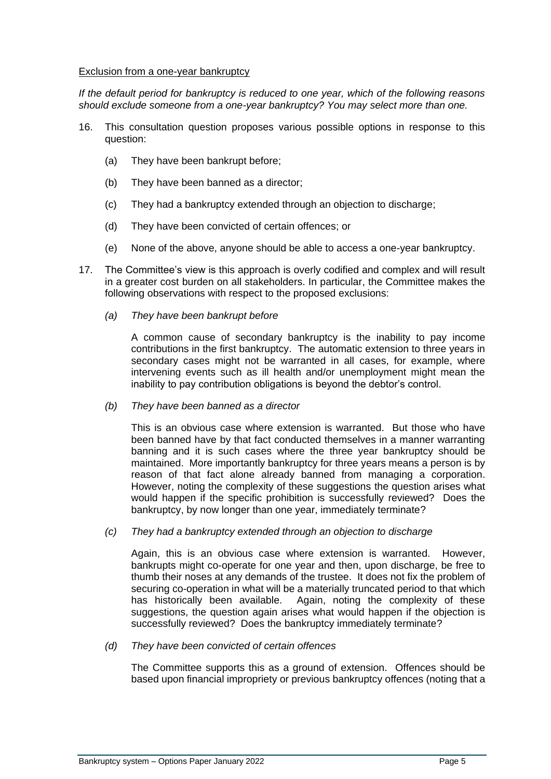#### Exclusion from a one-year bankruptcy

*If the default period for bankruptcy is reduced to one year, which of the following reasons should exclude someone from a one-year bankruptcy? You may select more than one.*

- 16. This consultation question proposes various possible options in response to this question:
	- (a) They have been bankrupt before;
	- (b) They have been banned as a director;
	- (c) They had a bankruptcy extended through an objection to discharge;
	- (d) They have been convicted of certain offences; or
	- (e) None of the above, anyone should be able to access a one-year bankruptcy.
- 17. The Committee's view is this approach is overly codified and complex and will result in a greater cost burden on all stakeholders. In particular, the Committee makes the following observations with respect to the proposed exclusions:
	- *(a) They have been bankrupt before*

A common cause of secondary bankruptcy is the inability to pay income contributions in the first bankruptcy. The automatic extension to three years in secondary cases might not be warranted in all cases, for example, where intervening events such as ill health and/or unemployment might mean the inability to pay contribution obligations is beyond the debtor's control.

*(b) They have been banned as a director*

This is an obvious case where extension is warranted. But those who have been banned have by that fact conducted themselves in a manner warranting banning and it is such cases where the three year bankruptcy should be maintained. More importantly bankruptcy for three years means a person is by reason of that fact alone already banned from managing a corporation. However, noting the complexity of these suggestions the question arises what would happen if the specific prohibition is successfully reviewed? Does the bankruptcy, by now longer than one year, immediately terminate?

*(c) They had a bankruptcy extended through an objection to discharge*

Again, this is an obvious case where extension is warranted. However, bankrupts might co-operate for one year and then, upon discharge, be free to thumb their noses at any demands of the trustee. It does not fix the problem of securing co-operation in what will be a materially truncated period to that which has historically been available. Again, noting the complexity of these suggestions, the question again arises what would happen if the objection is successfully reviewed? Does the bankruptcy immediately terminate?

*(d) They have been convicted of certain offences*

The Committee supports this as a ground of extension. Offences should be based upon financial impropriety or previous bankruptcy offences (noting that a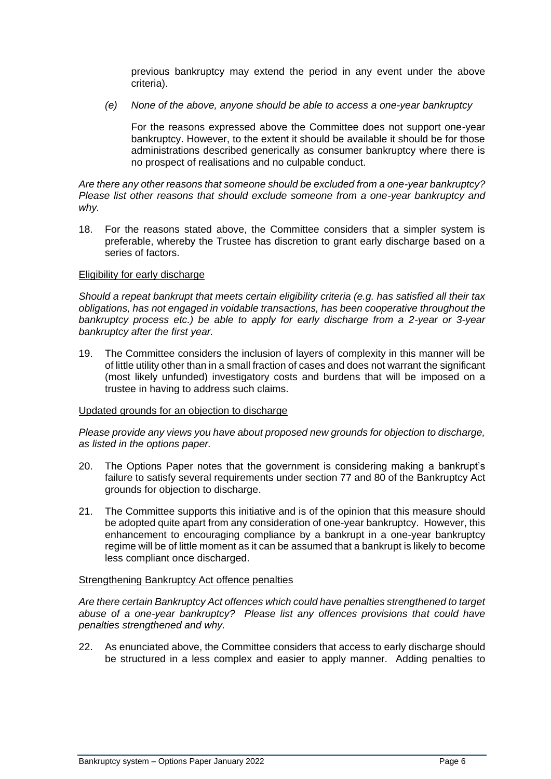previous bankruptcy may extend the period in any event under the above criteria).

*(e) None of the above, anyone should be able to access a one-year bankruptcy*

For the reasons expressed above the Committee does not support one-year bankruptcy. However, to the extent it should be available it should be for those administrations described generically as consumer bankruptcy where there is no prospect of realisations and no culpable conduct.

*Are there any other reasons that someone should be excluded from a one-year bankruptcy? Please list other reasons that should exclude someone from a one-year bankruptcy and why.*

18. For the reasons stated above, the Committee considers that a simpler system is preferable, whereby the Trustee has discretion to grant early discharge based on a series of factors.

#### Eligibility for early discharge

*Should a repeat bankrupt that meets certain eligibility criteria (e.g. has satisfied all their tax obligations, has not engaged in voidable transactions, has been cooperative throughout the bankruptcy process etc.) be able to apply for early discharge from a 2-year or 3-year bankruptcy after the first year.*

19. The Committee considers the inclusion of layers of complexity in this manner will be of little utility other than in a small fraction of cases and does not warrant the significant (most likely unfunded) investigatory costs and burdens that will be imposed on a trustee in having to address such claims.

#### Updated grounds for an objection to discharge

*Please provide any views you have about proposed new grounds for objection to discharge, as listed in the options paper.*

- 20. The Options Paper notes that the government is considering making a bankrupt's failure to satisfy several requirements under section 77 and 80 of the Bankruptcy Act grounds for objection to discharge.
- 21. The Committee supports this initiative and is of the opinion that this measure should be adopted quite apart from any consideration of one-year bankruptcy. However, this enhancement to encouraging compliance by a bankrupt in a one-year bankruptcy regime will be of little moment as it can be assumed that a bankrupt is likely to become less compliant once discharged.

#### Strengthening Bankruptcy Act offence penalties

*Are there certain Bankruptcy Act offences which could have penalties strengthened to target abuse of a one-year bankruptcy? Please list any offences provisions that could have penalties strengthened and why.*

22. As enunciated above, the Committee considers that access to early discharge should be structured in a less complex and easier to apply manner. Adding penalties to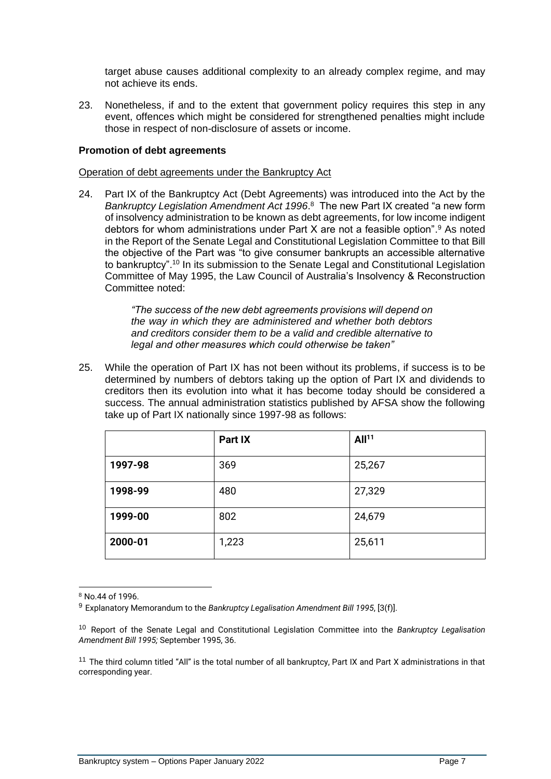target abuse causes additional complexity to an already complex regime, and may not achieve its ends.

23. Nonetheless, if and to the extent that government policy requires this step in any event, offences which might be considered for strengthened penalties might include those in respect of non-disclosure of assets or income.

# **Promotion of debt agreements**

#### Operation of debt agreements under the Bankruptcy Act

24. Part IX of the Bankruptcy Act (Debt Agreements) was introduced into the Act by the *Bankruptcy Legislation Amendment Act 1996*. <sup>8</sup> The new Part IX created "a new form of insolvency administration to be known as debt agreements, for low income indigent debtors for whom administrations under Part X are not a feasible option". <sup>9</sup> As noted in the Report of the Senate Legal and Constitutional Legislation Committee to that Bill the objective of the Part was "to give consumer bankrupts an accessible alternative to bankruptcy".<sup>10</sup> In its submission to the Senate Legal and Constitutional Legislation Committee of May 1995, the Law Council of Australia's Insolvency & Reconstruction Committee noted:

> *"The success of the new debt agreements provisions will depend on the way in which they are administered and whether both debtors and creditors consider them to be a valid and credible alternative to legal and other measures which could otherwise be taken"*

25. While the operation of Part IX has not been without its problems, if success is to be determined by numbers of debtors taking up the option of Part IX and dividends to creditors then its evolution into what it has become today should be considered a success. The annual administration statistics published by AFSA show the following take up of Part IX nationally since 1997-98 as follows:

|         | Part IX | All <sup>11</sup> |
|---------|---------|-------------------|
| 1997-98 | 369     | 25,267            |
| 1998-99 | 480     | 27,329            |
| 1999-00 | 802     | 24,679            |
| 2000-01 | 1,223   | 25,611            |

<sup>8</sup> No.44 of 1996.

<sup>9</sup> Explanatory Memorandum to the *Bankruptcy Legalisation Amendment Bill 1995*, [3(f)].

<sup>10</sup> Report of the Senate Legal and Constitutional Legislation Committee into the *Bankruptcy Legalisation Amendment Bill 1995;* September 1995, 36.

<sup>&</sup>lt;sup>11</sup> The third column titled "All" is the total number of all bankruptcy, Part IX and Part X administrations in that corresponding year.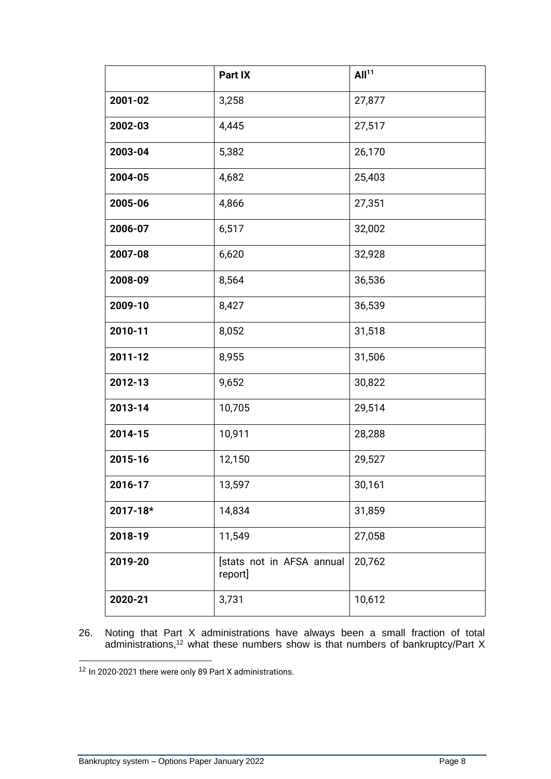|          | Part IX                              | All <sup>11</sup> |
|----------|--------------------------------------|-------------------|
| 2001-02  | 3,258                                | 27,877            |
| 2002-03  | 4,445                                | 27,517            |
| 2003-04  | 5,382                                | 26,170            |
| 2004-05  | 4,682                                | 25,403            |
| 2005-06  | 4,866                                | 27,351            |
| 2006-07  | 6,517                                | 32,002            |
| 2007-08  | 6,620                                | 32,928            |
| 2008-09  | 8,564                                | 36,536            |
| 2009-10  | 8,427                                | 36,539            |
| 2010-11  | 8,052                                | 31,518            |
| 2011-12  | 8,955                                | 31,506            |
| 2012-13  | 9,652                                | 30,822            |
| 2013-14  | 10,705                               | 29,514            |
| 2014-15  | 10,911                               | 28,288            |
| 2015-16  | 12,150                               | 29,527            |
| 2016-17  | 13,597                               | 30,161            |
| 2017-18* | 14,834                               | 31,859            |
| 2018-19  | 11,549                               | 27,058            |
| 2019-20  | [stats not in AFSA annual<br>report] | 20,762            |
| 2020-21  | 3,731                                | 10,612            |

26. Noting that Part X administrations have always been a small fraction of total administrations, <sup>12</sup> what these numbers show is that numbers of bankruptcy/Part X

<sup>&</sup>lt;sup>12</sup> In 2020-2021 there were only 89 Part X administrations.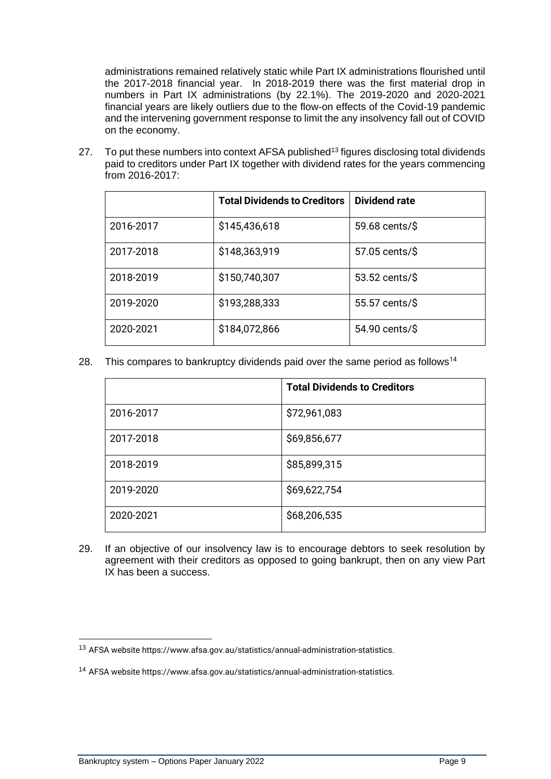administrations remained relatively static while Part IX administrations flourished until the 2017-2018 financial year. In 2018-2019 there was the first material drop in numbers in Part IX administrations (by 22.1%). The 2019-2020 and 2020-2021 financial years are likely outliers due to the flow-on effects of the Covid-19 pandemic and the intervening government response to limit the any insolvency fall out of COVID on the economy.

27. To put these numbers into context AFSA published<sup>13</sup> figures disclosing total dividends paid to creditors under Part IX together with dividend rates for the years commencing from 2016-2017:

|           | <b>Total Dividends to Creditors</b> | Dividend rate  |
|-----------|-------------------------------------|----------------|
| 2016-2017 | \$145,436,618                       | 59.68 cents/\$ |
| 2017-2018 | \$148,363,919                       | 57.05 cents/\$ |
| 2018-2019 | \$150,740,307                       | 53.52 cents/\$ |
| 2019-2020 | \$193,288,333                       | 55.57 cents/\$ |
| 2020-2021 | \$184,072,866                       | 54.90 cents/\$ |

28. This compares to bankruptcy dividends paid over the same period as follows<sup>14</sup>

|           | <b>Total Dividends to Creditors</b> |
|-----------|-------------------------------------|
| 2016-2017 | \$72,961,083                        |
| 2017-2018 | \$69,856,677                        |
| 2018-2019 | \$85,899,315                        |
| 2019-2020 | \$69,622,754                        |
| 2020-2021 | \$68,206,535                        |

29. If an objective of our insolvency law is to encourage debtors to seek resolution by agreement with their creditors as opposed to going bankrupt, then on any view Part IX has been a success.

<sup>13</sup> AFSA website https://www.afsa.gov.au/statistics/annual-administration-statistics.

<sup>14</sup> AFSA website https://www.afsa.gov.au/statistics/annual-administration-statistics.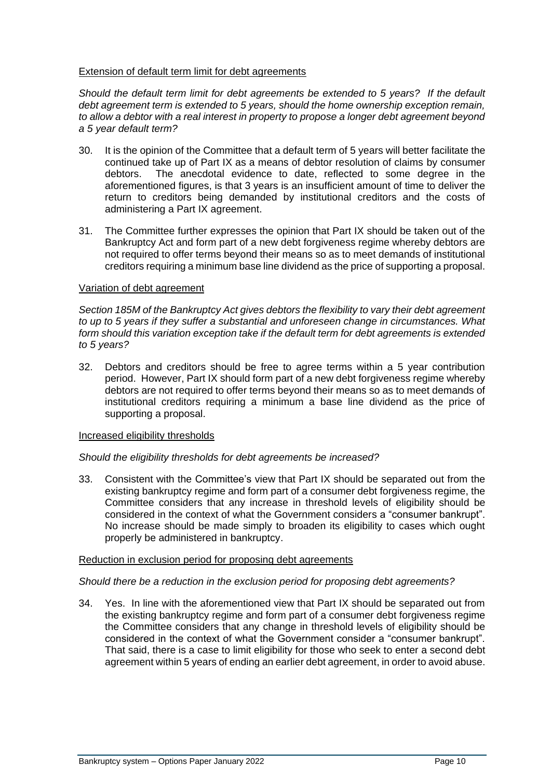# Extension of default term limit for debt agreements

*Should the default term limit for debt agreements be extended to 5 years? If the default debt agreement term is extended to 5 years, should the home ownership exception remain, to allow a debtor with a real interest in property to propose a longer debt agreement beyond a 5 year default term?*

- 30. It is the opinion of the Committee that a default term of 5 years will better facilitate the continued take up of Part IX as a means of debtor resolution of claims by consumer debtors. The anecdotal evidence to date, reflected to some degree in the aforementioned figures, is that 3 years is an insufficient amount of time to deliver the return to creditors being demanded by institutional creditors and the costs of administering a Part IX agreement.
- 31. The Committee further expresses the opinion that Part IX should be taken out of the Bankruptcy Act and form part of a new debt forgiveness regime whereby debtors are not required to offer terms beyond their means so as to meet demands of institutional creditors requiring a minimum base line dividend as the price of supporting a proposal.

## Variation of debt agreement

*Section 185M of the Bankruptcy Act gives debtors the flexibility to vary their debt agreement to up to 5 years if they suffer a substantial and unforeseen change in circumstances. What form should this variation exception take if the default term for debt agreements is extended to 5 years?*

32. Debtors and creditors should be free to agree terms within a 5 year contribution period. However, Part IX should form part of a new debt forgiveness regime whereby debtors are not required to offer terms beyond their means so as to meet demands of institutional creditors requiring a minimum a base line dividend as the price of supporting a proposal.

## Increased eligibility thresholds

## *Should the eligibility thresholds for debt agreements be increased?*

33. Consistent with the Committee's view that Part IX should be separated out from the existing bankruptcy regime and form part of a consumer debt forgiveness regime, the Committee considers that any increase in threshold levels of eligibility should be considered in the context of what the Government considers a "consumer bankrupt". No increase should be made simply to broaden its eligibility to cases which ought properly be administered in bankruptcy.

## Reduction in exclusion period for proposing debt agreements

## *Should there be a reduction in the exclusion period for proposing debt agreements?*

34. Yes. In line with the aforementioned view that Part IX should be separated out from the existing bankruptcy regime and form part of a consumer debt forgiveness regime the Committee considers that any change in threshold levels of eligibility should be considered in the context of what the Government consider a "consumer bankrupt". That said, there is a case to limit eligibility for those who seek to enter a second debt agreement within 5 years of ending an earlier debt agreement, in order to avoid abuse.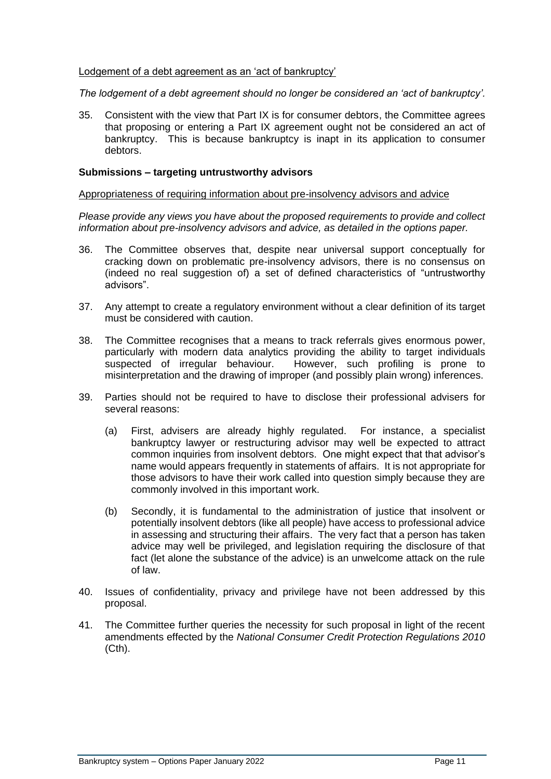# Lodgement of a debt agreement as an 'act of bankruptcy'

*The lodgement of a debt agreement should no longer be considered an 'act of bankruptcy'.*

35. Consistent with the view that Part IX is for consumer debtors, the Committee agrees that proposing or entering a Part IX agreement ought not be considered an act of bankruptcy. This is because bankruptcy is inapt in its application to consumer debtors.

## **Submissions – targeting untrustworthy advisors**

#### Appropriateness of requiring information about pre-insolvency advisors and advice

*Please provide any views you have about the proposed requirements to provide and collect information about pre-insolvency advisors and advice, as detailed in the options paper.*

- 36. The Committee observes that, despite near universal support conceptually for cracking down on problematic pre-insolvency advisors, there is no consensus on (indeed no real suggestion of) a set of defined characteristics of "untrustworthy advisors".
- 37. Any attempt to create a regulatory environment without a clear definition of its target must be considered with caution.
- 38. The Committee recognises that a means to track referrals gives enormous power, particularly with modern data analytics providing the ability to target individuals suspected of irregular behaviour. However, such profiling is prone to misinterpretation and the drawing of improper (and possibly plain wrong) inferences.
- 39. Parties should not be required to have to disclose their professional advisers for several reasons:
	- (a) First, advisers are already highly regulated. For instance, a specialist bankruptcy lawyer or restructuring advisor may well be expected to attract common inquiries from insolvent debtors. One might expect that that advisor's name would appears frequently in statements of affairs. It is not appropriate for those advisors to have their work called into question simply because they are commonly involved in this important work.
	- (b) Secondly, it is fundamental to the administration of justice that insolvent or potentially insolvent debtors (like all people) have access to professional advice in assessing and structuring their affairs. The very fact that a person has taken advice may well be privileged, and legislation requiring the disclosure of that fact (let alone the substance of the advice) is an unwelcome attack on the rule of law.
- 40. Issues of confidentiality, privacy and privilege have not been addressed by this proposal.
- 41. The Committee further queries the necessity for such proposal in light of the recent amendments effected by the *National Consumer Credit Protection Regulations 2010*  (Cth).